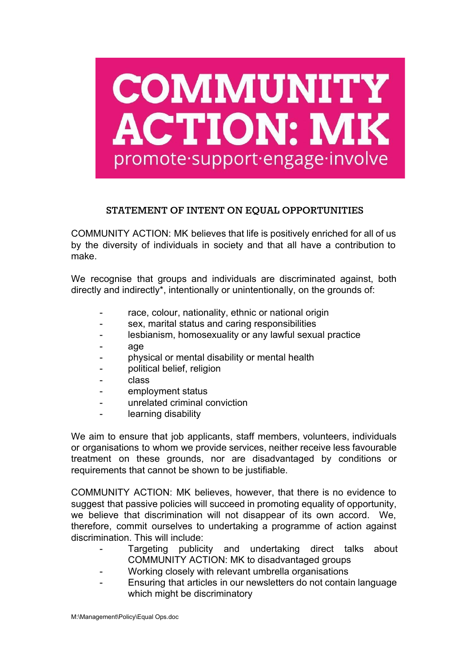

## **STATEMENT OF INTENT ON EQUAL OPPORTUNITIES**

COMMUNITY ACTION: MK believes that life is positively enriched for all of us by the diversity of individuals in society and that all have a contribution to make.

We recognise that groups and individuals are discriminated against, both directly and indirectly\*, intentionally or unintentionally, on the grounds of:

- race, colour, nationality, ethnic or national origin
- sex, marital status and caring responsibilities
- lesbianism, homosexuality or any lawful sexual practice
- age
- physical or mental disability or mental health
- political belief, religion
- class
- employment status
- unrelated criminal conviction
- learning disability

We aim to ensure that job applicants, staff members, volunteers, individuals or organisations to whom we provide services, neither receive less favourable treatment on these grounds, nor are disadvantaged by conditions or requirements that cannot be shown to be justifiable.

COMMUNITY ACTION: MK believes, however, that there is no evidence to suggest that passive policies will succeed in promoting equality of opportunity, we believe that discrimination will not disappear of its own accord. We, therefore, commit ourselves to undertaking a programme of action against discrimination. This will include:

- Targeting publicity and undertaking direct talks about COMMUNITY ACTION: MK to disadvantaged groups
- Working closely with relevant umbrella organisations
- Ensuring that articles in our newsletters do not contain language which might be discriminatory